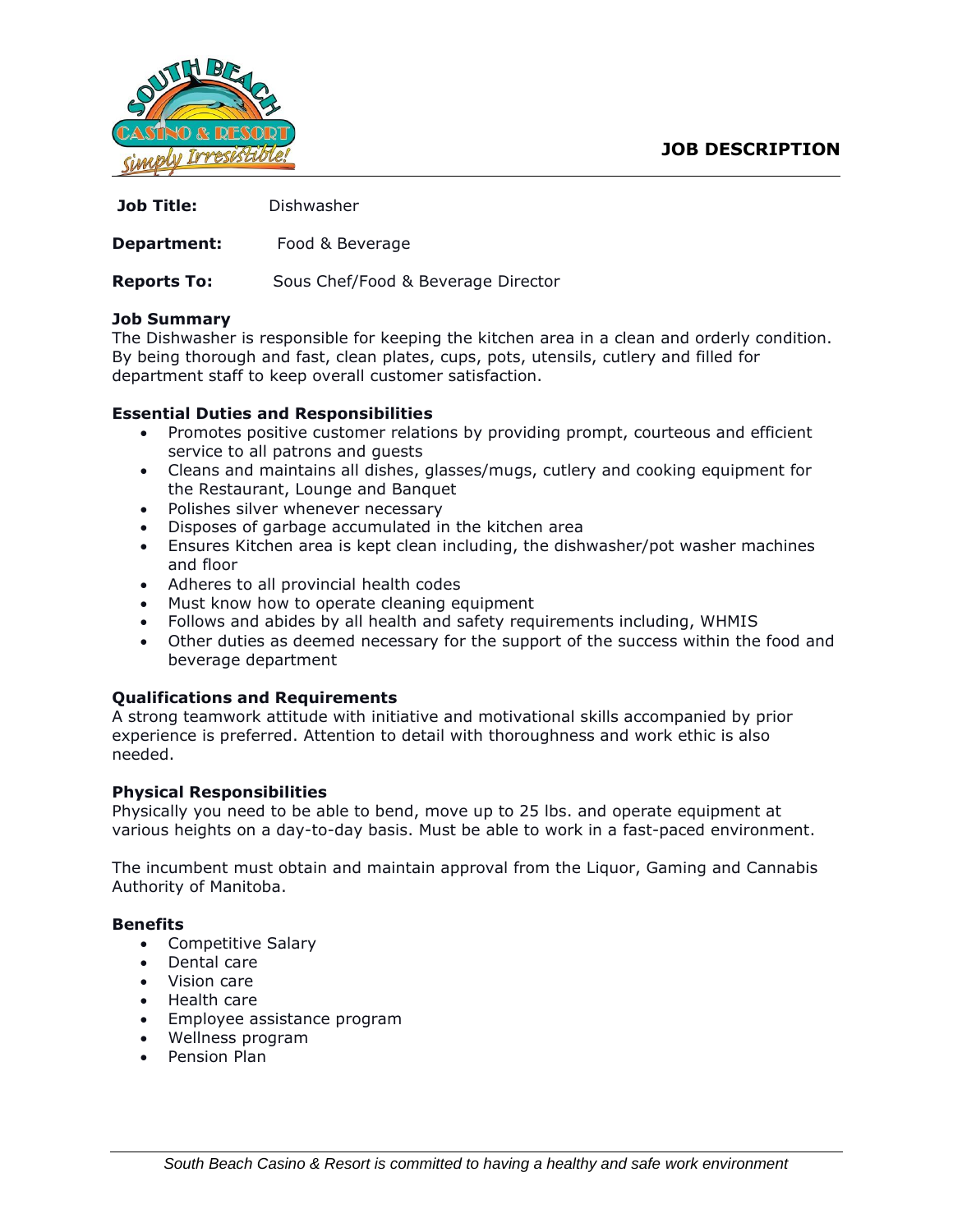

| <b>Job Title:</b>  | Dishwasher                         |
|--------------------|------------------------------------|
| Department:        | Food & Beverage                    |
| <b>Reports To:</b> | Sous Chef/Food & Beverage Director |

#### **Job Summary**

The Dishwasher is responsible for keeping the kitchen area in a clean and orderly condition. By being thorough and fast, clean plates, cups, pots, utensils, cutlery and filled for department staff to keep overall customer satisfaction.

### **Essential Duties and Responsibilities**

- Promotes positive customer relations by providing prompt, courteous and efficient service to all patrons and guests
- Cleans and maintains all dishes, glasses/mugs, cutlery and cooking equipment for the Restaurant, Lounge and Banquet
- Polishes silver whenever necessary
- Disposes of garbage accumulated in the kitchen area
- Ensures Kitchen area is kept clean including, the dishwasher/pot washer machines and floor
- Adheres to all provincial health codes
- Must know how to operate cleaning equipment
- Follows and abides by all health and safety requirements including, WHMIS
- Other duties as deemed necessary for the support of the success within the food and beverage department

## **Qualifications and Requirements**

A strong teamwork attitude with initiative and motivational skills accompanied by prior experience is preferred. Attention to detail with thoroughness and work ethic is also needed.

#### **Physical Responsibilities**

Physically you need to be able to bend, move up to 25 lbs. and operate equipment at various heights on a day-to-day basis. Must be able to work in a fast-paced environment.

The incumbent must obtain and maintain approval from the Liquor, Gaming and Cannabis Authority of Manitoba.

#### **Benefits**

- Competitive Salary
- Dental care
- Vision care
- Health care
- Employee assistance program
- Wellness program
- Pension Plan